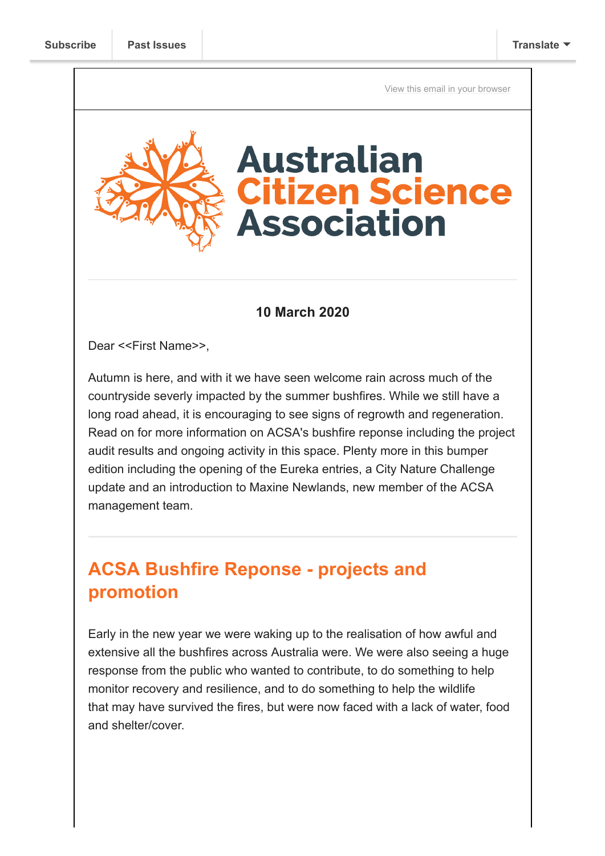[View this email in your browser](https://mailchi.mp/a76feb093342/bushfire-project-audit-eurekas-open-and-citscioz20-key-dates?e=[UNIQID])

# **Australian itizen Science Association**

#### **10 March 2020**

Dear <<First Name>>,

Autumn is here, and with it we have seen welcome rain across much of the countryside severly impacted by the summer bushfires. While we still have a long road ahead, it is encouraging to see signs of regrowth and regeneration. Read on for more information on ACSA's bushfire reponse including the project audit results and ongoing activity in this space. Plenty more in this bumper edition including the opening of the Eureka entries, a City Nature Challenge update and an introduction to Maxine Newlands, new member of the ACSA management team.

# **ACSA Bushfire Reponse - projects and promotion**

Early in the new year we were waking up to the realisation of how awful and extensive all the bushfires across Australia were. We were also seeing a huge response from the public who wanted to contribute, to do something to help monitor recovery and resilience, and to do something to help the wildlife that may have survived the fires, but were now faced with a lack of water, food and shelter/cover.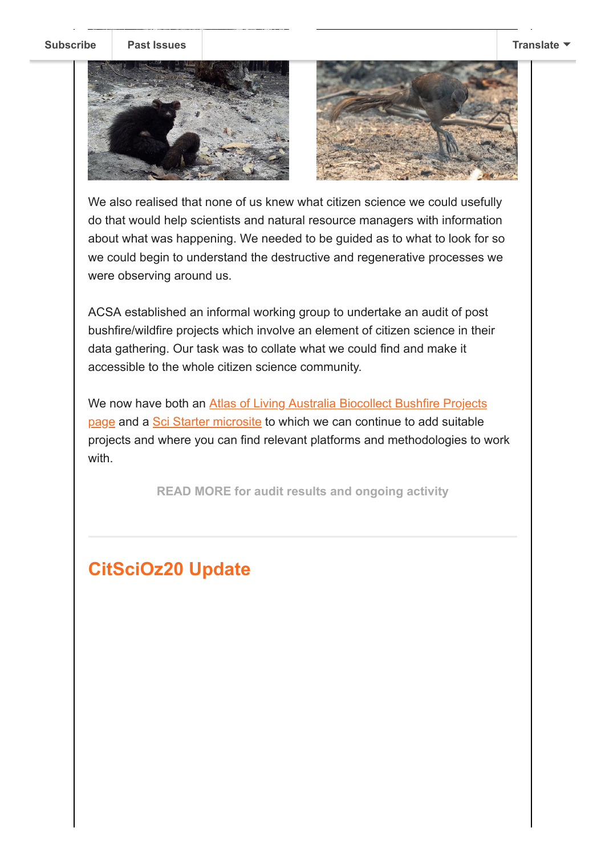**[Subscribe](http://eepurl.com/gr6ouP) [Past Issues](https://us9.campaign-archive.com/home/?u=bf6c4fb11671f5919db89feda&id=40b221ed15) [Translate](javascript:;)**





We also realised that none of us knew what citizen science we could usefully do that would help scientists and natural resource managers with information about what was happening. We needed to be guided as to what to look for so we could begin to understand the destructive and regenerative processes we were observing around us.

ACSA established an informal working group to undertake an audit of post bushfire/wildfire projects which involve an element of citizen science in their data gathering. Our task was to collate what we could find and make it accessible to the whole citizen science community.

[We now have both an Atlas of Living Australia Biocollect Bushfire Projects](https://biocollect.ala.org.au/bushfire_recovery) page and a [Sci Starter microsite](https://scistarter.org/australia) to which we can continue to add suitable projects and where you can find relevant platforms and methodologies to work with.

**[READ MORE for audit results and ongoing activity](https://citizenscience.org.au/2020/03/05/acsa-bushfire-response-projects-audit-and-promotion/)**

# **CitSciOz20 Update**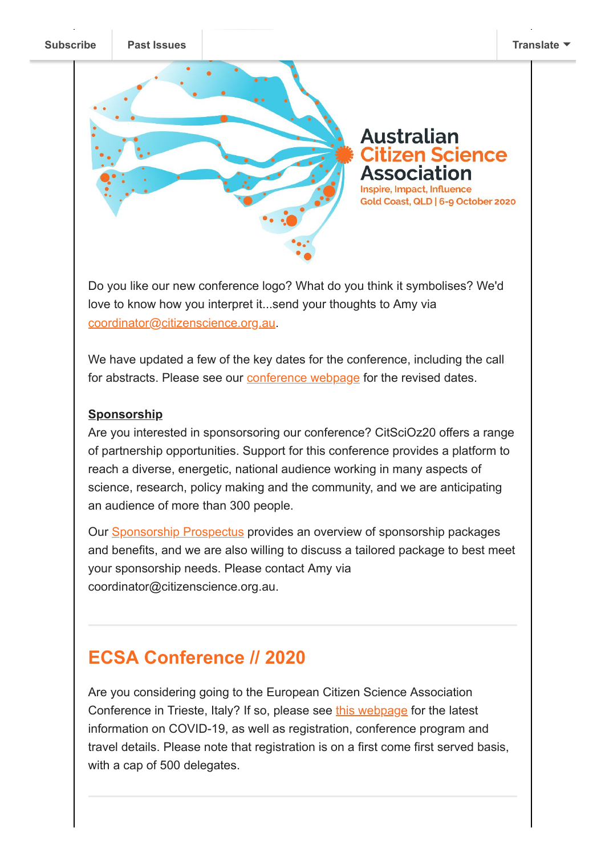

Do you like our new conference logo? What do you think it symbolises? We'd love to know how you interpret it...send your thoughts to Amy via [coordinator@citizenscience.org.au](mailto:coordinator@citizenscience.org.au).

We have updated a few of the key dates for the conference, including the call for abstracts. Please see our **conference webpage** for the revised dates.

#### **Sponsorship**

Are you interested in sponsorsoring our conference? CitSciOz20 offers a range of partnership opportunities. Support for this conference provides a platform to reach a diverse, energetic, national audience working in many aspects of science, research, policy making and the community, and we are anticipating an audience of more than 300 people.

Our [Sponsorship Prospectus](https://citizenscience.org.au/wp-content/uploads/2020/02/CitSciOz20_Sponsorship-Prospectus.pdf) provides an overview of sponsorship packages and benefits, and we are also willing to discuss a tailored package to best meet your sponsorship needs. Please contact Amy via coordinator@citizenscience.org.au.

# **ECSA Conference // 2020**

Are you considering going to the European Citizen Science Association Conference in Trieste, Italy? If so, please see [this webpage](https://www.ecsa-conference.eu/) for the latest information on COVID-19, as well as registration, conference program and travel details. Please note that registration is on a first come first served basis, with a cap of 500 delegates.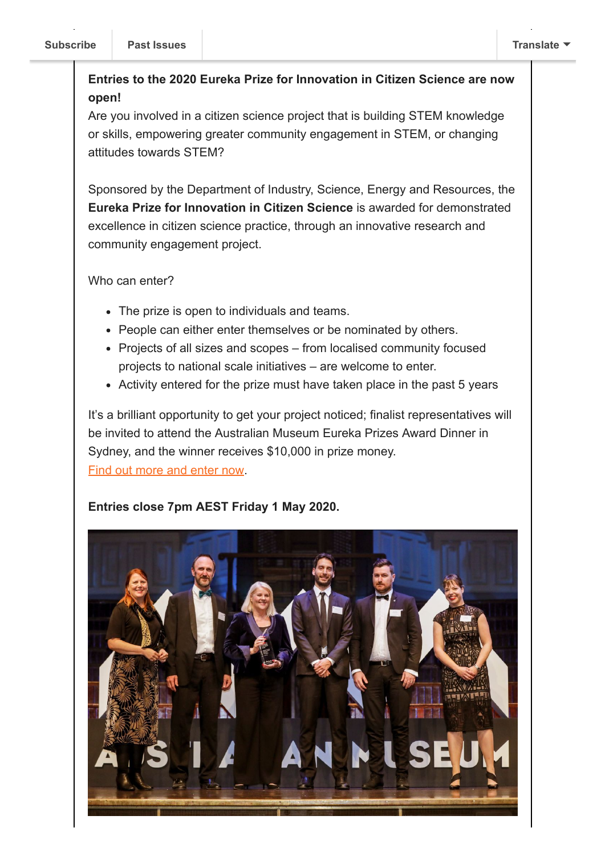### **Entries to the 2020 Eureka Prize for Innovation in Citizen Science are now open!**

Are you involved in a citizen science project that is building STEM knowledge or skills, empowering greater community engagement in STEM, or changing attitudes towards STEM?

Sponsored by the Department of Industry, Science, Energy and Resources, the **Eureka Prize for Innovation in Citizen Science** is awarded for demonstrated excellence in citizen science practice, through an innovative research and community engagement project.

Who can enter?

- The prize is open to individuals and teams.
- People can either enter themselves or be nominated by others.
- Projects of all sizes and scopes from localised community focused projects to national scale initiatives – are welcome to enter.
- Activity entered for the prize must have taken place in the past 5 years

It's a brilliant opportunity to get your project noticed; finalist representatives will be invited to attend the Australian Museum Eureka Prizes Award Dinner in Sydney, and the winner receives \$10,000 in prize money. [Find out more and enter now.](https://australianmuseum.net.au/get-involved/eureka-prizes/enter/innovation-citizen-science/)

#### **Entries close 7pm AEST Friday 1 May 2020.**

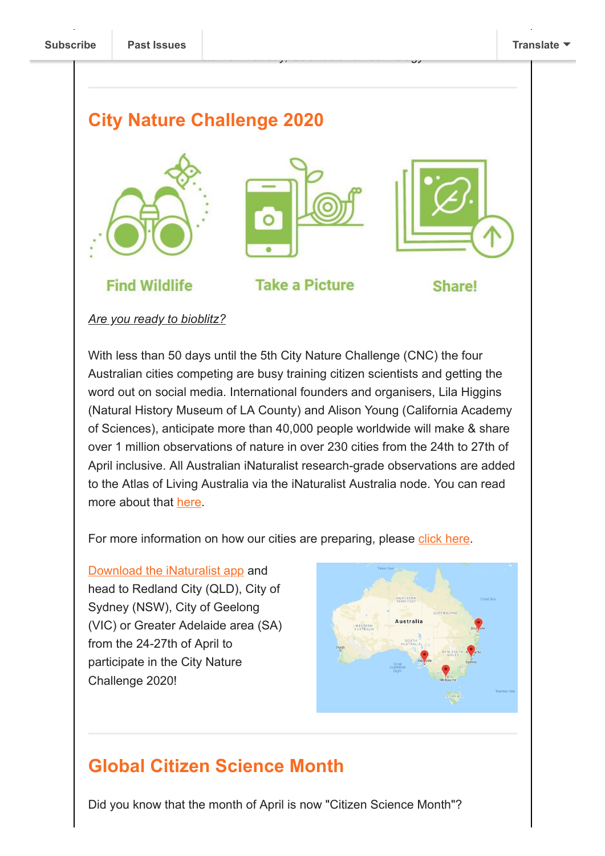## **City Nature Challenge 2020**





*Minister for Industry, Science and Technology.*

**Take a Picture** 



**Share!** 

#### *Are you ready to bioblitz?*

**Find Wildlife** 

With less than 50 days until the 5th City Nature Challenge (CNC) the four Australian cities competing are busy training citizen scientists and getting the word out on social media. International founders and organisers, Lila Higgins (Natural History Museum of LA County) and Alison Young (California Academy of Sciences), anticipate more than 40,000 people worldwide will make & share over 1 million observations of nature in over 230 cities from the 24th to 27th of April inclusive. All Australian iNaturalist research-grade observations are added to the Atlas of Living Australia via the iNaturalist Australia node. You can read more about that [here.](https://www.inaturalist.org/blog/27851-welcome-inaturalist-australia)

For more information on how our cities are preparing, please [click here.](https://citizenscience.org.au/2020/03/09/are-you-ready-to-bioblitz/)

[Download the iNaturalist app](https://www.inaturalist.org/projects/city-nature-challenge-2020-australia) and head to Redland City (QLD), City of Sydney (NSW), City of Geelong (VIC) or Greater Adelaide area (SA) from the 24-27th of April to participate in the City Nature Challenge 2020!



# **Global Citizen Science Month**

Did you know that the month of April is now "Citizen Science Month"?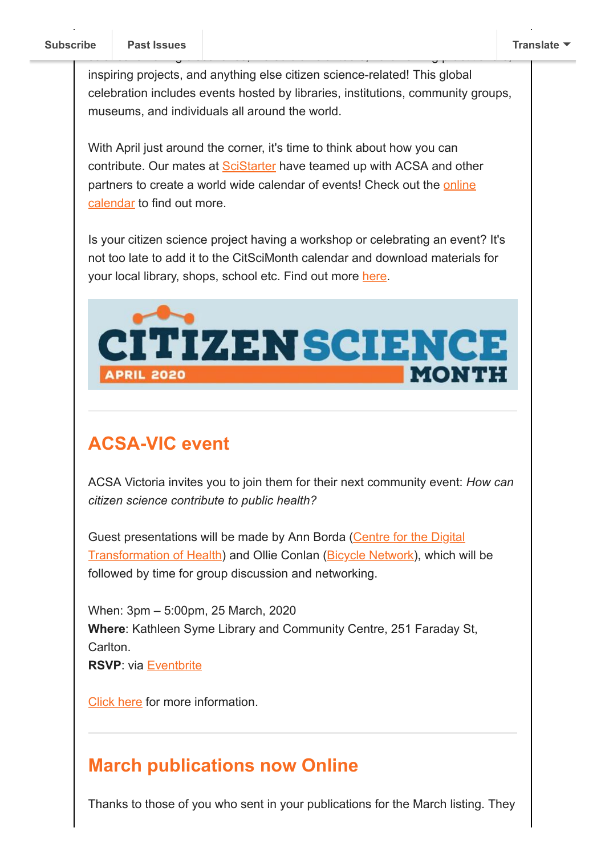inspiring projects, and anything else citizen science-related! This global celebration includes events hosted by libraries, institutions, community groups, museums, and individuals all around the world.

science: amazing discoveries, incredible volunteers, hardworking practitioners,

With April just around the corner, it's time to think about how you can contribute. Our mates at [SciStarter](https://scistarter.org/) have teamed up with ACSA and other [partners to create a world wide calendar of events! Check out the online](https://scistarter.org/calendar) calendar to find out more.

Is your citizen science project having a workshop or celebrating an event? It's not too late to add it to the CitSciMonth calendar and download materials for your local library, shops, school etc. Find out more [here.](https://scistarter.org/citizensciencemonth)



# **ACSA-VIC event**

ACSA Victoria invites you to join them for their next community event: *How can citizen science contribute to public health?* 

[Guest presentations will be made by Ann Borda \(Centre for the Digital](https://citizensciencevic.us12.list-manage.com/track/click?u=18dac44a1d3b809fee70c7a0f&id=6b10d9ac55&e=7b20d3a04c) Transformation of Health) and Ollie Conlan ([Bicycle Network](https://citizensciencevic.us12.list-manage.com/track/click?u=18dac44a1d3b809fee70c7a0f&id=0b9cef90bb&e=7b20d3a04c)), which will be followed by time for group discussion and networking.

When: 3pm – 5:00pm, 25 March, 2020 **Where**: Kathleen Syme Library and Community Centre, 251 Faraday St, Carlton.

**RSVP**: via [Eventbrite](https://citizensciencevic.us12.list-manage.com/track/click?u=18dac44a1d3b809fee70c7a0f&id=bfedd32d51&e=7b20d3a04c)

[Click here](https://citizenscience.org.au/2020/03/06/acsa-vic-event-how-can-citizen-science-contribute-to-public-health/) for more information.

# **March publications now Online**

Thanks to those of you who sent in your publications for the March listing. They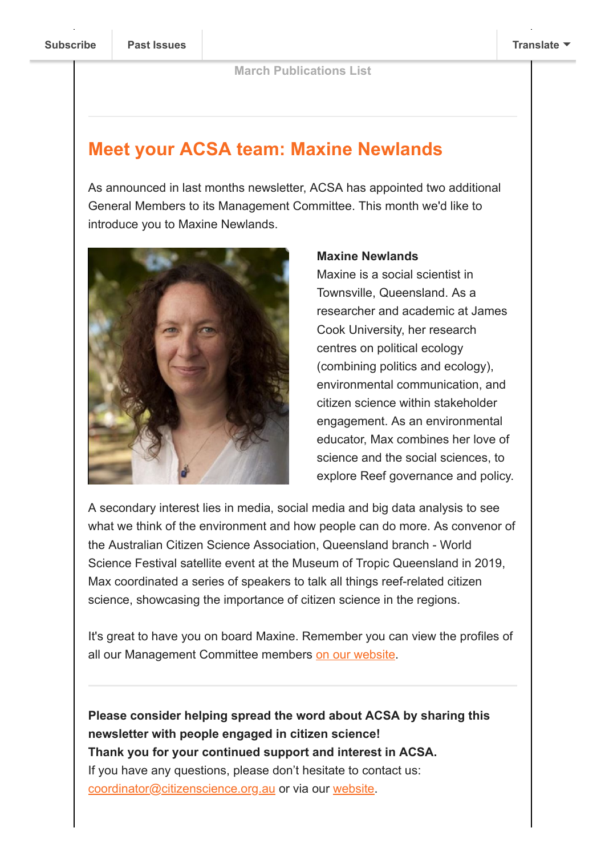# **Meet your ACSA team: Maxine Newlands**

As announced in last months newsletter, ACSA has appointed two additional General Members to its Management Committee. This month we'd like to introduce you to Maxine Newlands.



#### **Maxine Newlands**

Maxine is a social scientist in Townsville, Queensland. As a researcher and academic at James Cook University, her research centres on political ecology (combining politics and ecology), environmental communication, and citizen science within stakeholder engagement. As an environmental educator, Max combines her love of science and the social sciences, to explore Reef governance and policy.

A secondary interest lies in media, social media and big data analysis to see what we think of the environment and how people can do more. As convenor of the Australian Citizen Science Association, Queensland branch - World Science Festival satellite event at the Museum of Tropic Queensland in 2019, Max coordinated a series of speakers to talk all things reef-related citizen science, showcasing the importance of citizen science in the regions.

It's great to have you on board Maxine. Remember you can view the profiles of all our Management Committee members [on our website](https://citizenscience.org.au/who-we-are/management-committee/).

**Please consider helping spread the word about ACSA by sharing this newsletter with people engaged in citizen science! Thank you for your continued support and interest in ACSA.** If you have any questions, please don't hesitate to contact us: [coordinator@citizenscience.org.au](mailto:coordinator@citizenscience.org.au) or via our [website.](http://csna.gaiaresources.com.au/wordpress/contact-us/)